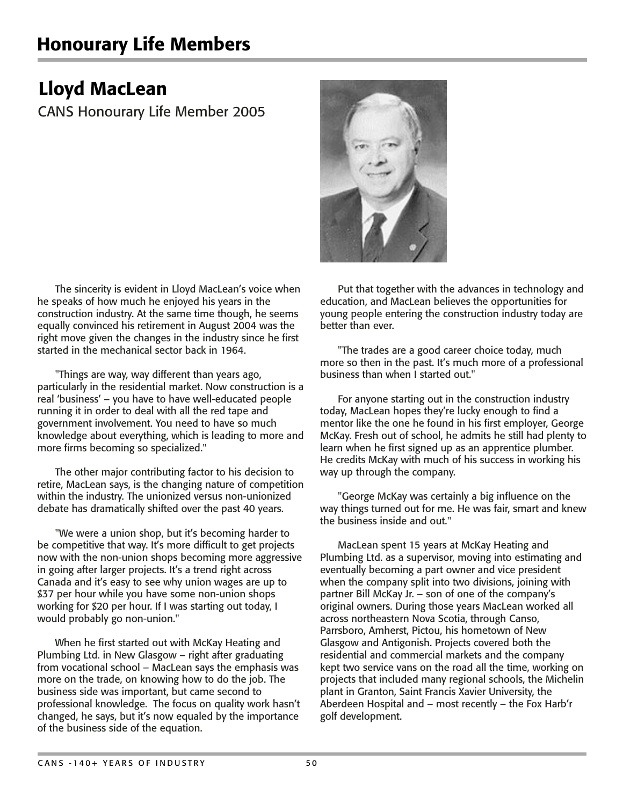## Honourary Life Members

## Lloyd MacLean

CANS Honourary Life Member 2005

The sincerity is evident in Lloyd MacLean's voice when he speaks of how much he enjoyed his years in the construction industry. At the same time though, he seems equally convinced his retirement in August 2004 was the right move given the changes in the industry since he first started in the mechanical sector back in 1964.

"Things are way, way different than years ago, particularly in the residential market. Now construction is a real 'business' – you have to have well-educated people running it in order to deal with all the red tape and government involvement. You need to have so much knowledge about everything, which is leading to more and more firms becoming so specialized."

The other major contributing factor to his decision to retire, MacLean says, is the changing nature of competition within the industry. The unionized versus non-unionized debate has dramatically shifted over the past 40 years.

"We were a union shop, but it's becoming harder to be competitive that way. It's more difficult to get projects now with the non-union shops becoming more aggressive in going after larger projects. It's a trend right across Canada and it's easy to see why union wages are up to \$37 per hour while you have some non-union shops working for \$20 per hour. If I was starting out today, I would probably go non-union."

When he first started out with McKay Heating and Plumbing Ltd. in New Glasgow – right after graduating from vocational school – MacLean says the emphasis was more on the trade, on knowing how to do the job. The business side was important, but came second to professional knowledge. The focus on quality work hasn't changed, he says, but it's now equaled by the importance of the business side of the equation.



Put that together with the advances in technology and education, and MacLean believes the opportunities for young people entering the construction industry today are better than ever.

"The trades are a good career choice today, much more so then in the past. It's much more of a professional business than when I started out."

For anyone starting out in the construction industry today, MacLean hopes they're lucky enough to find a mentor like the one he found in his first employer, George McKay. Fresh out of school, he admits he still had plenty to learn when he first signed up as an apprentice plumber. He credits McKay with much of his success in working his way up through the company.

"George McKay was certainly a big influence on the way things turned out for me. He was fair, smart and knew the business inside and out."

MacLean spent 15 years at McKay Heating and Plumbing Ltd. as a supervisor, moving into estimating and eventually becoming a part owner and vice president when the company split into two divisions, joining with partner Bill McKay Jr. – son of one of the company's original owners. During those years MacLean worked all across northeastern Nova Scotia, through Canso, Parrsboro, Amherst, Pictou, his hometown of New Glasgow and Antigonish. Projects covered both the residential and commercial markets and the company kept two service vans on the road all the time, working on projects that included many regional schools, the Michelin plant in Granton, Saint Francis Xavier University, the Aberdeen Hospital and – most recently – the Fox Harb'r golf development.